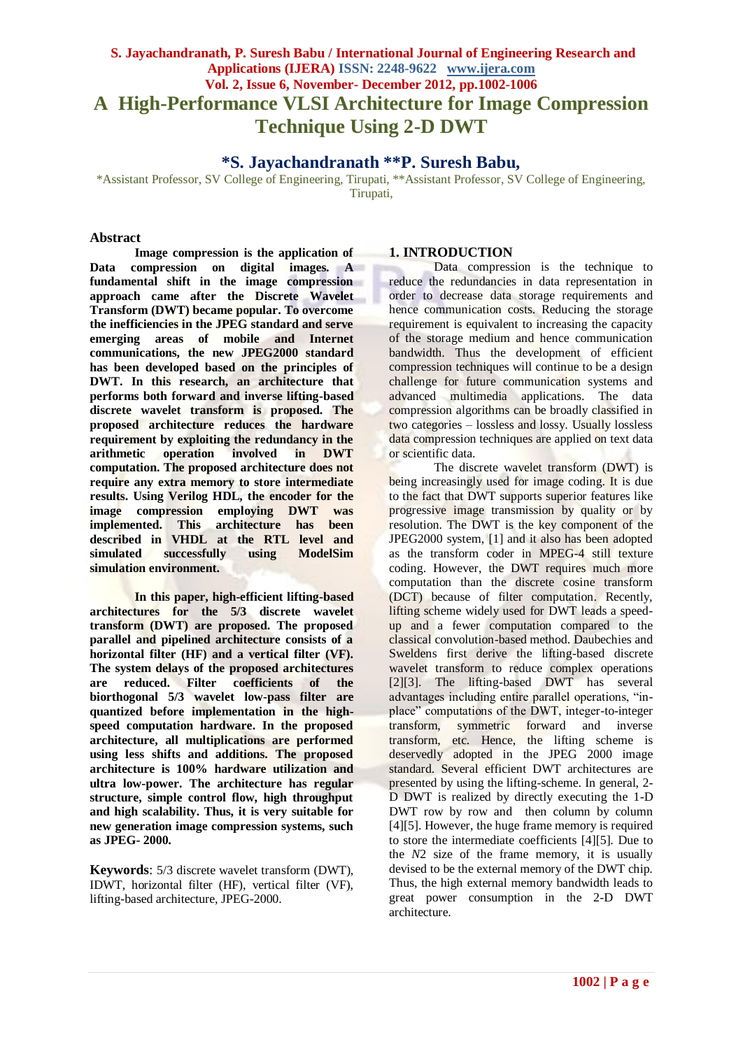# **S. Jayachandranath, P. Suresh Babu / International Journal of Engineering Research and Applications (IJERA) ISSN: 2248-9622 www.ijera.com Vol. 2, Issue 6, November- December 2012, pp.1002-1006 A High-Performance VLSI Architecture for Image Compression Technique Using 2-D DWT**

# **\*S. Jayachandranath \*\*P. Suresh Babu,**

\*Assistant Professor, SV College of Engineering, Tirupati, \*\*Assistant Professor, SV College of Engineering, Tirupati,

#### **Abstract**

**Image compression is the application of Data compression on digital images. A fundamental shift in the image compression approach came after the Discrete Wavelet Transform (DWT) became popular. To overcome the inefficiencies in the JPEG standard and serve emerging areas of mobile and Internet communications, the new JPEG2000 standard has been developed based on the principles of DWT. In this research, an architecture that performs both forward and inverse lifting-based discrete wavelet transform is proposed. The proposed architecture reduces the hardware requirement by exploiting the redundancy in the arithmetic operation involved in DWT computation. The proposed architecture does not require any extra memory to store intermediate results. Using Verilog HDL, the encoder for the image compression employing DWT was implemented. This architecture has been described in VHDL at the RTL level and simulated successfully using ModelSim simulation environment.**

**In this paper, high-efficient lifting-based architectures for the 5/3 discrete wavelet transform (DWT) are proposed. The proposed parallel and pipelined architecture consists of a horizontal filter (HF) and a vertical filter (VF). The system delays of the proposed architectures are reduced. Filter coefficients of the biorthogonal 5/3 wavelet low-pass filter are quantized before implementation in the highspeed computation hardware. In the proposed architecture, all multiplications are performed using less shifts and additions. The proposed architecture is 100% hardware utilization and ultra low-power. The architecture has regular structure, simple control flow, high throughput and high scalability. Thus, it is very suitable for new generation image compression systems, such as JPEG- 2000.**

**Keywords**: 5/3 discrete wavelet transform (DWT), IDWT, horizontal filter (HF), vertical filter (VF), lifting-based architecture, JPEG-2000.

## **1. INTRODUCTION**

Data compression is the technique to reduce the redundancies in data representation in order to decrease data storage requirements and hence communication costs. Reducing the storage requirement is equivalent to increasing the capacity of the storage medium and hence communication bandwidth. Thus the development of efficient compression techniques will continue to be a design challenge for future communication systems and advanced multimedia applications. The data compression algorithms can be broadly classified in two categories – lossless and lossy. Usually lossless data compression techniques are applied on text data or scientific data.

The discrete wavelet transform (DWT) is being increasingly used for image coding. It is due to the fact that DWT supports superior features like progressive image transmission by quality or by resolution. The DWT is the key component of the JPEG2000 system, [1] and it also has been adopted as the transform coder in MPEG-4 still texture coding. However, the DWT requires much more computation than the discrete cosine transform (DCT) because of filter computation. Recently, lifting scheme widely used for DWT leads a speedup and a fewer computation compared to the classical convolution-based method. Daubechies and Sweldens first derive the lifting-based discrete wavelet transform to reduce complex operations [2][3]. The lifting-based DWT has several advantages including entire parallel operations, "inplace" computations of the DWT, integer-to-integer transform, symmetric forward and inverse transform, etc. Hence, the lifting scheme is deservedly adopted in the JPEG 2000 image standard. Several efficient DWT architectures are presented by using the lifting-scheme. In general, 2- D DWT is realized by directly executing the 1-D DWT row by row and then column by column [4][5]. However, the huge frame memory is required to store the intermediate coefficients [4][5]. Due to the *N*2 size of the frame memory, it is usually devised to be the external memory of the DWT chip. Thus, the high external memory bandwidth leads to great power consumption in the 2-D DWT architecture.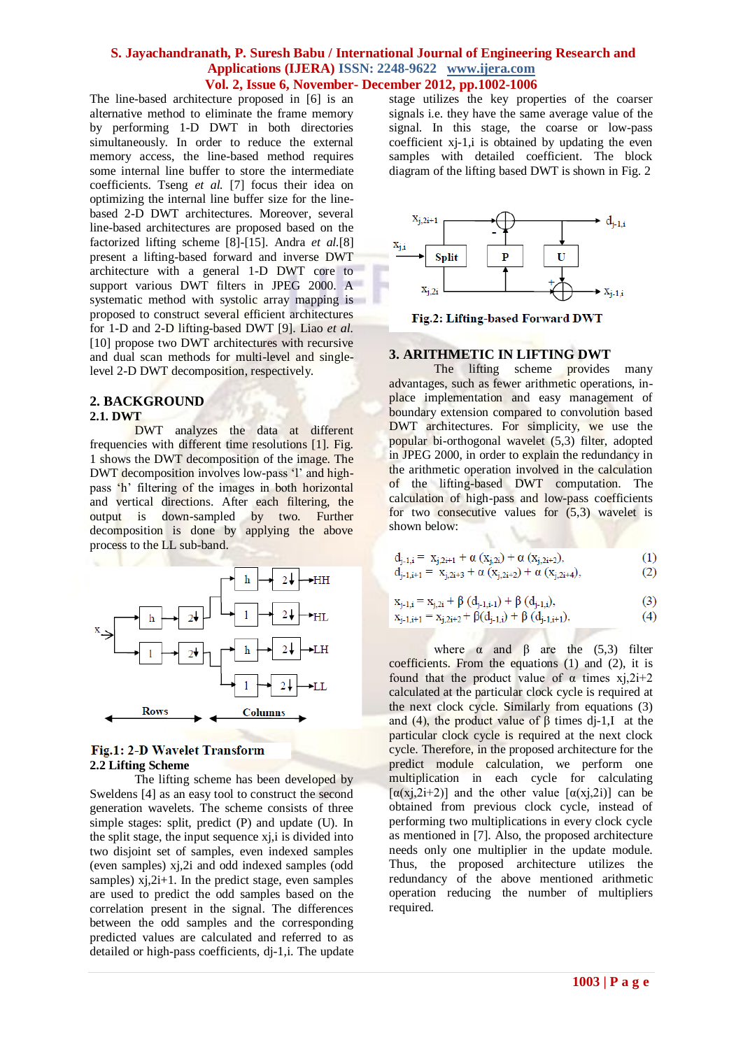The line-based architecture proposed in [6] is an alternative method to eliminate the frame memory by performing 1-D DWT in both directories simultaneously. In order to reduce the external memory access, the line-based method requires some internal line buffer to store the intermediate coefficients. Tseng *et al.* [7] focus their idea on optimizing the internal line buffer size for the linebased 2-D DWT architectures. Moreover, several line-based architectures are proposed based on the factorized lifting scheme [8]-[15]. Andra *et al.*[8] present a lifting-based forward and inverse DWT architecture with a general 1-D DWT core to support various DWT filters in JPEG 2000. A systematic method with systolic array mapping is proposed to construct several efficient architectures for 1-D and 2-D lifting-based DWT [9]. Liao *et al.*  [10] propose two DWT architectures with recursive and dual scan methods for multi-level and singlelevel 2-D DWT decomposition, respectively.

#### **2. BACKGROUND 2.1. DWT**

DWT analyzes the data at different frequencies with different time resolutions [1]. Fig. 1 shows the DWT decomposition of the image. The DWT decomposition involves low-pass 'l' and highpass 'h' filtering of the images in both horizontal and vertical directions. After each filtering, the output is down-sampled by two. Further decomposition is done by applying the above process to the LL sub-band.



# Fig.1: 2-D Wavelet Transform **2.2 Lifting Scheme**

The lifting scheme has been developed by Sweldens [4] as an easy tool to construct the second generation wavelets. The scheme consists of three simple stages: split, predict (P) and update (U). In the split stage, the input sequence xj,i is divided into two disjoint set of samples, even indexed samples (even samples) xj,2i and odd indexed samples (odd samples)  $x_i$ ,  $2i+1$ . In the predict stage, even samples are used to predict the odd samples based on the correlation present in the signal. The differences between the odd samples and the corresponding predicted values are calculated and referred to as detailed or high-pass coefficients, dj-1,i. The update

stage utilizes the key properties of the coarser signals i.e. they have the same average value of the signal. In this stage, the coarse or low-pass coefficient xj-1,i is obtained by updating the even samples with detailed coefficient. The block diagram of the lifting based DWT is shown in Fig. 2



Fig.2: Lifting-based Forward DWT

# **3. ARITHMETIC IN LIFTING DWT**

The lifting scheme provides many advantages, such as fewer arithmetic operations, inplace implementation and easy management of boundary extension compared to convolution based DWT architectures. For simplicity, we use the popular bi-orthogonal wavelet (5,3) filter, adopted in JPEG 2000, in order to explain the redundancy in the arithmetic operation involved in the calculation of the lifting-based DWT computation. The calculation of high-pass and low-pass coefficients for two consecutive values for (5,3) wavelet is shown below:

$$
d_{j-1,i} = x_{j,2i+1} + \alpha (x_{j,2i}) + \alpha (x_{j,2i+2}),
$$
  
\n
$$
d_{j-1,i+1} = x_{j,2i+3} + \alpha (x_{j,2i+2}) + \alpha (x_{j,2i+4}),
$$
\n(1)

$$
x_{j-1,i} = x_{j,2i} + \beta (d_{j-1,i-1}) + \beta (d_{j-1,i}),
$$
\n(3)

$$
x_{j-1,i+1} = x_{j,2i+2} + \beta(d_{j-1,i}) + \beta(d_{j-1,i+1}),
$$
\n(4)

where  $\alpha$  and  $\beta$  are the (5,3) filter coefficients. From the equations (1) and (2), it is found that the product value of  $\alpha$  times xj,2i+2 calculated at the particular clock cycle is required at the next clock cycle. Similarly from equations (3) and (4), the product value of  $\beta$  times dj-1,I at the particular clock cycle is required at the next clock cycle. Therefore, in the proposed architecture for the predict module calculation, we perform one multiplication in each cycle for calculating  $[\alpha(x),2i+2)]$  and the other value  $[\alpha(x),2i)]$  can be obtained from previous clock cycle, instead of performing two multiplications in every clock cycle as mentioned in [7]. Also, the proposed architecture needs only one multiplier in the update module. Thus, the proposed architecture utilizes the redundancy of the above mentioned arithmetic operation reducing the number of multipliers required.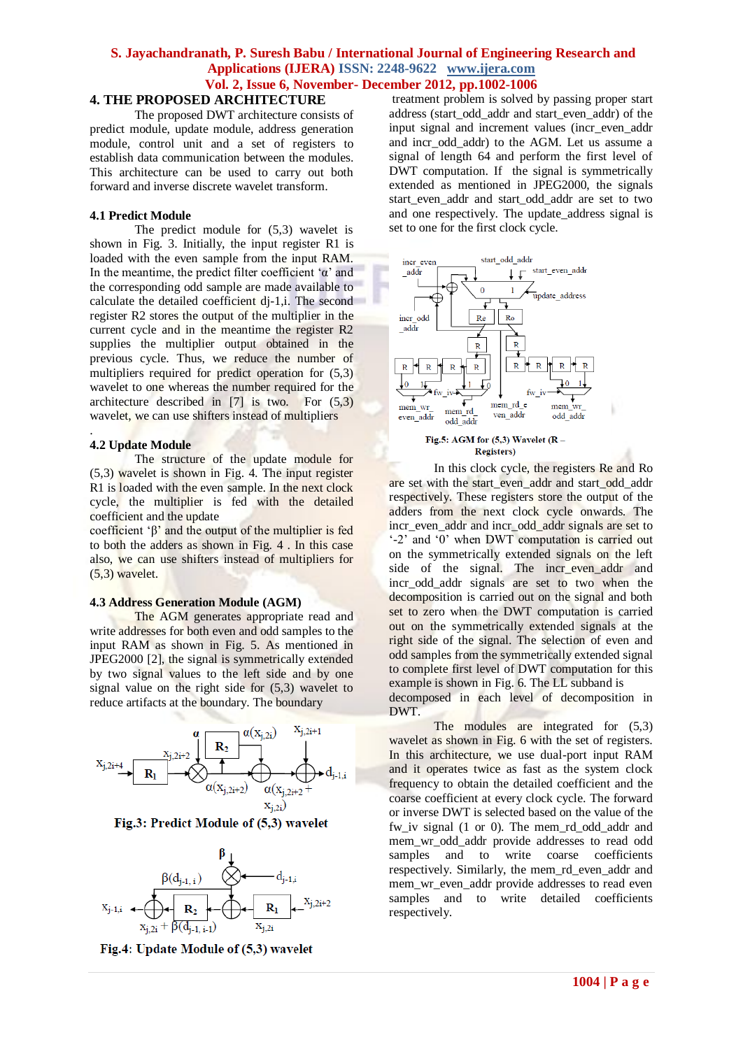## **4. THE PROPOSED ARCHITECTURE**

The proposed DWT architecture consists of predict module, update module, address generation module, control unit and a set of registers to establish data communication between the modules. This architecture can be used to carry out both forward and inverse discrete wavelet transform.

#### **4.1 Predict Module**

The predict module for (5,3) wavelet is shown in Fig. 3. Initially, the input register R1 is loaded with the even sample from the input RAM. In the meantime, the predict filter coefficient  $\alpha$  and the corresponding odd sample are made available to calculate the detailed coefficient dj-1,i. The second register R2 stores the output of the multiplier in the current cycle and in the meantime the register R2 supplies the multiplier output obtained in the previous cycle. Thus, we reduce the number of multipliers required for predict operation for (5,3) wavelet to one whereas the number required for the architecture described in [7] is two. For (5,3) wavelet, we can use shifters instead of multipliers

#### **4.2 Update Module**

.

The structure of the update module for (5,3) wavelet is shown in Fig. 4. The input register R1 is loaded with the even sample. In the next clock cycle, the multiplier is fed with the detailed coefficient and the update

coefficient ' $\beta$ ' and the output of the multiplier is fed to both the adders as shown in Fig. 4 . In this case also, we can use shifters instead of multipliers for (5,3) wavelet.

#### **4.3 Address Generation Module (AGM)**

The AGM generates appropriate read and write addresses for both even and odd samples to the input RAM as shown in Fig. 5. As mentioned in JPEG2000 [2], the signal is symmetrically extended by two signal values to the left side and by one signal value on the right side for (5,3) wavelet to reduce artifacts at the boundary. The boundary



Fig.3: Predict Module of (5,3) wavelet



Fig.4: Update Module of (5,3) wavelet

treatment problem is solved by passing proper start address (start\_odd\_addr and start\_even\_addr) of the input signal and increment values (incr\_even\_addr and incr\_odd\_addr) to the AGM. Let us assume a signal of length 64 and perform the first level of DWT computation. If the signal is symmetrically extended as mentioned in JPEG2000, the signals start even addr and start odd addr are set to two and one respectively. The update\_address signal is set to one for the first clock cycle.



In this clock cycle, the registers Re and Ro are set with the start\_even\_addr and start\_odd\_addr respectively. These registers store the output of the adders from the next clock cycle onwards. The incr\_even\_addr and incr\_odd\_addr signals are set to  $-2$ <sup>'</sup> and  $\overline{0}$ ' when DWT computation is carried out on the symmetrically extended signals on the left side of the signal. The incr\_even\_addr and incr\_odd\_addr signals are set to two when the decomposition is carried out on the signal and both set to zero when the DWT computation is carried out on the symmetrically extended signals at the right side of the signal. The selection of even and odd samples from the symmetrically extended signal to complete first level of DWT computation for this example is shown in Fig. 6. The LL subband is decomposed in each level of decomposition in

DWT.

The modules are integrated for  $(5,3)$ wavelet as shown in Fig. 6 with the set of registers. In this architecture, we use dual-port input RAM and it operates twice as fast as the system clock frequency to obtain the detailed coefficient and the coarse coefficient at every clock cycle. The forward or inverse DWT is selected based on the value of the fw\_iv signal (1 or 0). The mem\_rd\_odd\_addr and mem wr\_odd\_addr provide addresses to read odd samples and to write coarse coefficients respectively. Similarly, the mem\_rd\_even\_addr and mem\_wr\_even\_addr provide addresses to read even samples and to write detailed coefficients respectively.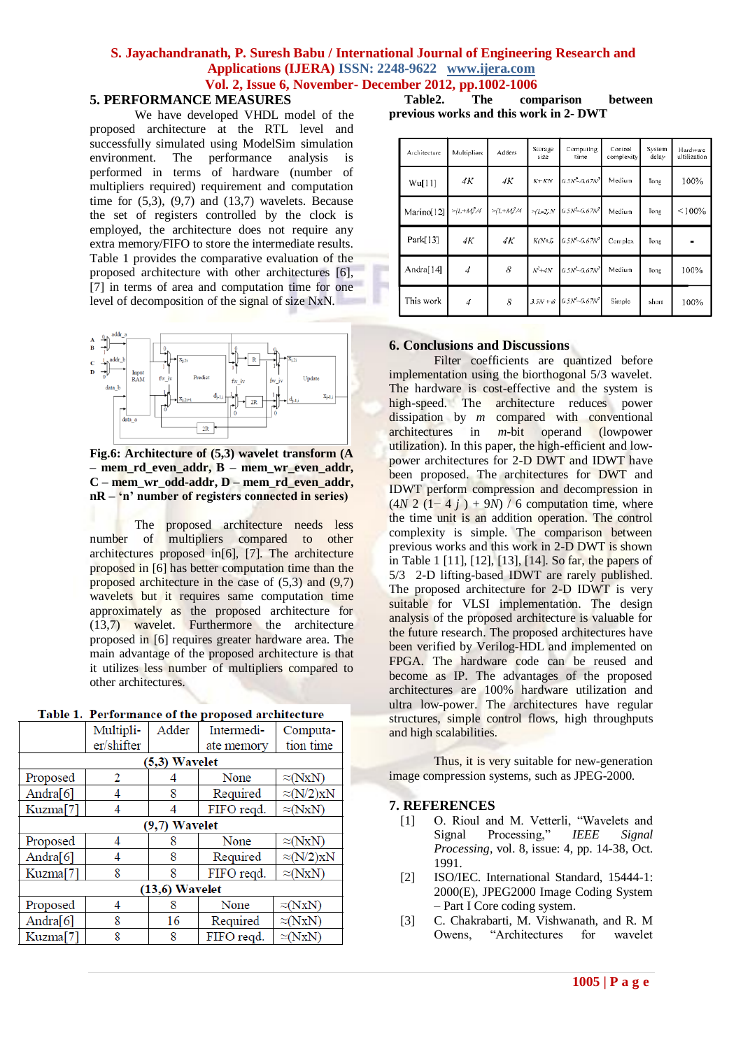## **5. PERFORMANCE MEASURES**

We have developed VHDL model of the proposed architecture at the RTL level and successfully simulated using ModelSim simulation environment. The performance analysis is performed in terms of hardware (number of multipliers required) requirement and computation time for  $(5,3)$ ,  $(9,7)$  and  $(13,7)$  wavelets. Because the set of registers controlled by the clock is employed, the architecture does not require any extra memory/FIFO to store the intermediate results. Table 1 provides the comparative evaluation of the proposed architecture with other architectures [6], [7] in terms of area and computation time for one level of decomposition of the signal of size NxN.



**Fig.6: Architecture of (5,3) wavelet transform (A – mem\_rd\_even\_addr, B – mem\_wr\_even\_addr, C – mem\_wr\_odd-addr, D – mem\_rd\_even\_addr, nR – 'n' number of registers connected in series)**

The proposed architecture needs less number of multipliers compared to other architectures proposed in[6], [7]. The architecture proposed in [6] has better computation time than the proposed architecture in the case of  $(5,3)$  and  $(9,7)$ wavelets but it requires same computation time approximately as the proposed architecture for (13,7) wavelet. Furthermore the architecture proposed in [6] requires greater hardware area. The main advantage of the proposed architecture is that it utilizes less number of multipliers compared to other architectures.

|                  | Multipli-  | Adder | Intermedi-                   | Computa-          |  |  |  |  |
|------------------|------------|-------|------------------------------|-------------------|--|--|--|--|
|                  | er/shifter |       | ate memory                   | tion time         |  |  |  |  |
| $(5,3)$ Wavelet  |            |       |                              |                   |  |  |  |  |
| Proposed         | 2          |       | $\approx(NxN)$<br>None       |                   |  |  |  |  |
| Andra[6]         | 4          | 8     | Required                     | $\approx$ (N/2)xN |  |  |  |  |
| Kuzma[7]         | 4          | 4     | FIFO reqd.                   | $\approx(NxN)$    |  |  |  |  |
| (9,7) Wavelet    |            |       |                              |                   |  |  |  |  |
| Proposed         | 4          | 8     | None                         | $\approx(NxN)$    |  |  |  |  |
| Andra $[6]$      | 4          | 8     | Required                     | $\approx$ (N/2)xN |  |  |  |  |
| Kuzma[7]         | 8          | 8     | FIFO reqd.<br>$\approx(NxN)$ |                   |  |  |  |  |
| $(13,6)$ Wavelet |            |       |                              |                   |  |  |  |  |
| Proposed         | 4          | 8     | None                         | $\approx(NxN)$    |  |  |  |  |
| Andra $[6]$      | 8          | 16    | Required                     | $\approx(NxN)$    |  |  |  |  |
| Kuzma[7]         | 8          | 8     | $\approx(NxN)$<br>FIFO reqd. |                   |  |  |  |  |
|                  |            |       |                              |                   |  |  |  |  |

| <b>Fable 1. Performance of the proposed architecture</b> |  |  |
|----------------------------------------------------------|--|--|

 **Table2. The comparison between previous works and this work in 2- DWT**

| Architecture | Multipliers         | Adders                             | Storage<br>size | Computing<br>time                                            | Control<br>complexity | System<br>delay | Hardware<br>ultilization |
|--------------|---------------------|------------------------------------|-----------------|--------------------------------------------------------------|-----------------------|-----------------|--------------------------|
| Wu[11]       | 4K                  | 4Κ                                 | $K+KN$          | $0.5N^2 - 0.67N^2$                                           | Medium                | long            | 100%                     |
| Marino[12]   | $> L + M_{I}^{2}/4$ | $>\frac{1}{4}$ + M <sup>2</sup> /4 |                 | $>\!\! (L \cdot Z \! , N \! - \! 0.5 N^2 \!\! - \! 0.67 N^2$ | Medium                | long            | $< 100\%$                |
| Park[13]     | 4K                  | 4K                                 | $K/N+J$         | $0.5N - 0.67N^2$                                             | Complex               | long            |                          |
| Andra[]4]    | $\overline{4}$      | 8                                  | $N^2+4N$        | $6.5N - 0.67N^2$                                             | Medium                | long            | 100%                     |
| This work    | $\overline{4}$      | $\bar{S}$                          |                 | $3.5N + 8.05N - 0.67N^2$                                     | Simple                | short           | 100%                     |

# **6. Conclusions and Discussions**

Filter coefficients are quantized before implementation using the biorthogonal 5/3 wavelet. The hardware is cost-effective and the system is high-speed. The architecture reduces power dissipation by *m* compared with conventional architectures in *m*-bit operand (lowpower utilization). In this paper, the high-efficient and lowpower architectures for 2-D DWT and IDWT have been proposed. The architectures for DWT and IDWT perform compression and decompression in  $(4N \ 2 \ (1-4 \ i) + 9N) / 6$  computation time, where the time unit is an addition operation. The control complexity is simple. The comparison between previous works and this work in 2-D DWT is shown in Table 1 [11], [12], [13], [14]. So far, the papers of 5/3 2-D lifting-based IDWT are rarely published. The proposed architecture for 2-D IDWT is very suitable for VLSI implementation. The design analysis of the proposed architecture is valuable for the future research. The proposed architectures have been verified by Verilog-HDL and implemented on FPGA. The hardware code can be reused and become as IP. The advantages of the proposed architectures are 100% hardware utilization and ultra low-power. The architectures have regular structures, simple control flows, high throughputs and high scalabilities.

Thus, it is very suitable for new-generation image compression systems, such as JPEG-2000.

#### **7. REFERENCES**

- [1] O. Rioul and M. Vetterli, "Wavelets and Signal Processing," *IEEE Signal Processing*, vol. 8, issue: 4, pp. 14-38, Oct. 1991.
- [2] ISO/IEC. International Standard, 15444-1: 2000(E), JPEG2000 Image Coding System – Part I Core coding system.
- [3] C. Chakrabarti, M. Vishwanath, and R. M Owens, "Architectures for wavelet